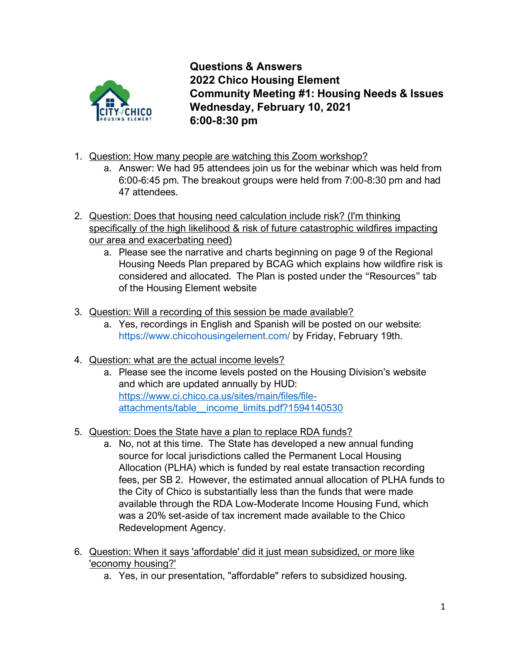

**Questions & Answers 2022 Chico Housing Element Community Meeting #1: Housing Needs & Issues Wednesday, February 10, 2021 6:00-8:30 pm**

- 1. Question: How many people are watching this Zoom workshop?
	- a. Answer: We had 95 attendees join us for the webinar which was held from 6:00-6:45 pm. The breakout groups were held from 7:00-8:30 pm and had 47 attendees.
- 2. Question: Does that housing need calculation include risk? (I'm thinking specifically of the high likelihood & risk of future catastrophic wildfires impacting our area and exacerbating need)
	- a. Please see the narrative and charts beginning on page 9 of the Regional Housing Needs Plan prepared by BCAG which explains how wildfire risk is considered and allocated. The Plan is posted under the "Resources" tab of the Housing Element website
- 3. Question: Will a recording of this session be made available?
	- a. Yes, recordings in English and Spanish will be posted on our website: <https://www.chicohousingelement.com/> by Friday, February 19th.
- 4. Question: what are the actual income levels?
	- a. Please see the income levels posted on the Housing Division's website and which are updated annually by HUD: [https://www.ci.chico.ca.us/sites/main/files/file](https://www.ci.chico.ca.us/sites/main/files/file-attachments/table__income_limits.pdf?1594140530)[attachments/table\\_\\_income\\_limits.pdf?1594140530](https://www.ci.chico.ca.us/sites/main/files/file-attachments/table__income_limits.pdf?1594140530)
- 5. Question: Does the State have a plan to replace RDA funds?
	- a. No, not at this time. The State has developed a new annual funding source for local jurisdictions called the Permanent Local Housing Allocation (PLHA) which is funded by real estate transaction recording fees, per SB 2. However, the estimated annual allocation of PLHA funds to the City of Chico is substantially less than the funds that were made available through the RDA Low-Moderate Income Housing Fund, which was a 20% set-aside of tax increment made available to the Chico Redevelopment Agency.
- 6. Question: When it says 'affordable' did it just mean subsidized, or more like 'economy housing?'
	- a. Yes, in our presentation, "affordable" refers to subsidized housing.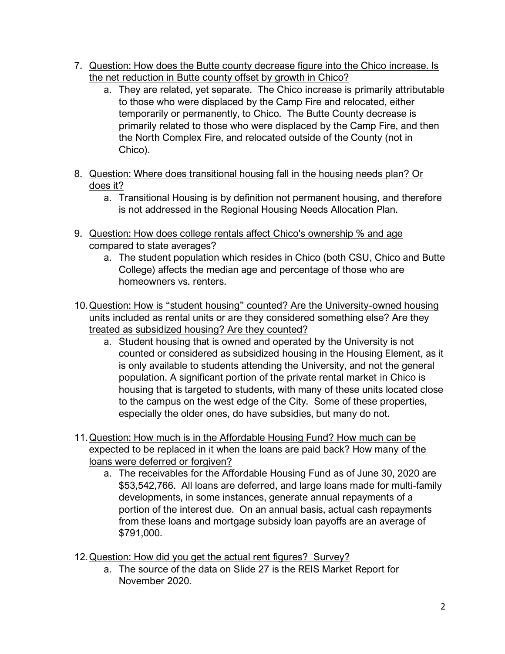- 7. Question: How does the Butte county decrease figure into the Chico increase. Is the net reduction in Butte county offset by growth in Chico?
	- a. They are related, yet separate. The Chico increase is primarily attributable to those who were displaced by the Camp Fire and relocated, either temporarily or permanently, to Chico. The Butte County decrease is primarily related to those who were displaced by the Camp Fire, and then the North Complex Fire, and relocated outside of the County (not in Chico).
- 8. Question: Where does transitional housing fall in the housing needs plan? Or does it?
	- a. Transitional Housing is by definition not permanent housing, and therefore is not addressed in the Regional Housing Needs Allocation Plan.
- 9. Question: How does college rentals affect Chico's ownership % and age compared to state averages?
	- a. The student population which resides in Chico (both CSU, Chico and Butte College) affects the median age and percentage of those who are homeowners vs. renters.
- 10.Question: How is "student housing" counted? Are the University-owned housing units included as rental units or are they considered something else? Are they treated as subsidized housing? Are they counted?
	- a. Student housing that is owned and operated by the University is not counted or considered as subsidized housing in the Housing Element, as it is only available to students attending the University, and not the general population. A significant portion of the private rental market in Chico is housing that is targeted to students, with many of these units located close to the campus on the west edge of the City. Some of these properties, especially the older ones, do have subsidies, but many do not.
- 11.Question: How much is in the Affordable Housing Fund? How much can be expected to be replaced in it when the loans are paid back? How many of the loans were deferred or forgiven?
	- a. The receivables for the Affordable Housing Fund as of June 30, 2020 are \$53,542,766. All loans are deferred, and large loans made for multi-family developments, in some instances, generate annual repayments of a portion of the interest due. On an annual basis, actual cash repayments from these loans and mortgage subsidy loan payoffs are an average of \$791,000.
- 12. Question: How did you get the actual rent figures? Survey?
	- a. The source of the data on Slide 27 is the REIS Market Report for November 2020.